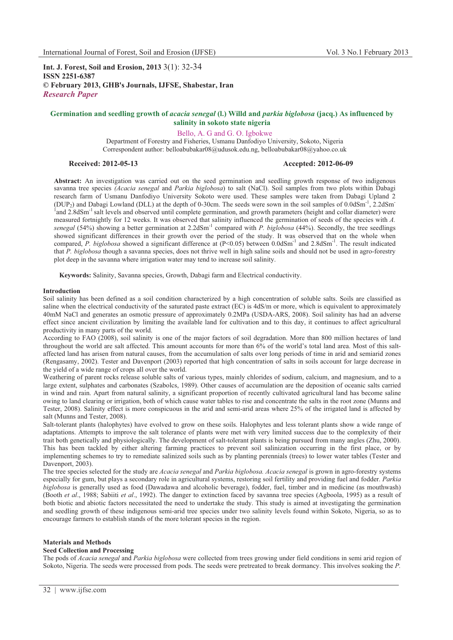**Int. J. Forest, Soil and Erosion, 2013** 3(1): 32-34 **ISSN 2251-6387 © February 2013, GHB's Journals, IJFSE, Shabestar, Iran** *Research Paper*

# **Germination and seedling growth of** *acacia senegal* **(l.) Willd and** *parkia biglobosa* **(jacq.) As influenced by salinity in sokoto state nigeria**

Bello, A. G and G. O. Igbokwe

Department of Forestry and Fisheries, Usmanu Danfodiyo University, Sokoto, Nigeria Correspondent author: belloabubakar08@udusok.edu.ng, belloabubakar08@yahoo.co.uk

# **Received: 2012-05-13 Accepted: 2012-06-09**

**Abstract:** An investigation was carried out on the seed germination and seedling growth response of two indigenous savanna tree species *(Acacia senegal* and *Parkia biglobosa*) to salt (NaCl). Soil samples from two plots within Dabagi research farm of Usmanu Danfodiyo University Sokoto were used. These samples were taken from Dabagi Upland 2 (DUP<sub>2</sub>) and Dabagi Lowland (DLL) at the depth of 0-30cm. The seeds were sown in the soil samples of  $0.0dSm^{-1}$ , 2.2dSm<sup>-1</sup> <sup>1</sup> and 2.8dSm<sup>-1</sup> salt levels and observed until complete germination, and growth parameters (height and collar diameter) were measured fortnightly for 12 weeks. It was observed that salinity influenced the germination of seeds of the species with *A. senegal* (54%) showing a better germination at 2.2dSm-1 compared with *P. biglobosa* (44%). Secondly, the tree seedlings showed significant differences in their growth over the period of the study. It was observed that on the whole when compared, *P. biglobosa* showed a significant difference at  $(P<0.05)$  between  $0.0dSm^{-1}$  and  $2.8dSm^{-1}$ . The result indicated that *P. biglobosa* though a savanna species, does not thrive well in high saline soils and should not be used in agro-forestry plot deep in the savanna where irrigation water may tend to increase soil salinity.

**Keywords:** Salinity, Savanna species, Growth, Dabagi farm and Electrical conductivity.

#### **Introduction**

Soil salinity has been defined as a soil condition characterized by a high concentration of soluble salts. Soils are classified as saline when the electrical conductivity of the saturated paste extract (EC) is 4dS/m or more, which is equivalent to approximately 40mM NaCl and generates an osmotic pressure of approximately 0.2MPa (USDA-ARS, 2008). Soil salinity has had an adverse effect since ancient civilization by limiting the available land for cultivation and to this day, it continues to affect agricultural productivity in many parts of the world.

According to FAO (2008), soil salinity is one of the major factors of soil degradation. More than 800 million hectares of land throughout the world are salt affected. This amount accounts for more than 6% of the world's total land area. Most of this saltaffected land has arisen from natural causes, from the accumulation of salts over long periods of time in arid and semiarid zones (Rengasamy, 2002). Tester and Davenport (2003) reported that high concentration of salts in soils account for large decrease in the yield of a wide range of crops all over the world.

Weathering of parent rocks release soluble salts of various types, mainly chlorides of sodium, calcium, and magnesium, and to a large extent, sulphates and carbonates (Szabolcs, 1989). Other causes of accumulation are the deposition of oceanic salts carried in wind and rain. Apart from natural salinity, a significant proportion of recently cultivated agricultural land has become saline owing to land clearing or irrigation, both of which cause water tables to rise and concentrate the salts in the root zone (Munns and Tester, 2008). Salinity effect is more conspicuous in the arid and semi-arid areas where 25% of the irrigated land is affected by salt (Munns and Tester, 2008).

Salt-tolerant plants (halophytes) have evolved to grow on these soils. Halophytes and less tolerant plants show a wide range of adaptations. Attempts to improve the salt tolerance of plants were met with very limited success due to the complexity of their trait both genetically and physiologically. The development of salt-tolerant plants is being pursued from many angles (Zhu, 2000). This has been tackled by either altering farming practices to prevent soil salinization occurring in the first place, or by implementing schemes to try to remediate salinized soils such as by planting perennials (trees) to lower water tables (Tester and Davenport, 2003).

The tree species selected for the study are *Acacia senegal* and *Parkia biglobosa. Acacia senegal* is grown in agro-forestry systems especially for gum, but plays a secondary role in agricultural systems, restoring soil fertility and providing fuel and fodder. *Parkia biglobosa* is generally used as food (Dawadawa and alcoholic beverage), fodder, fuel, timber and in medicine (as mouthwash) (Booth *et al*., 1988; Sabiiti *et al*., 1992). The danger to extinction faced by savanna tree species (Agboola, 1995) as a result of both biotic and abiotic factors necessitated the need to undertake the study. This study is aimed at investigating the germination and seedling growth of these indigenous semi-arid tree species under two salinity levels found within Sokoto, Nigeria, so as to encourage farmers to establish stands of the more tolerant species in the region.

# **Materials and Methods**

# **Seed Collection and Processing**

The pods of *Acacia senegal* and *Parkia biglobosa* were collected from trees growing under field conditions in semi arid region of Sokoto, Nigeria. The seeds were processed from pods. The seeds were pretreated to break dormancy. This involves soaking the *P.*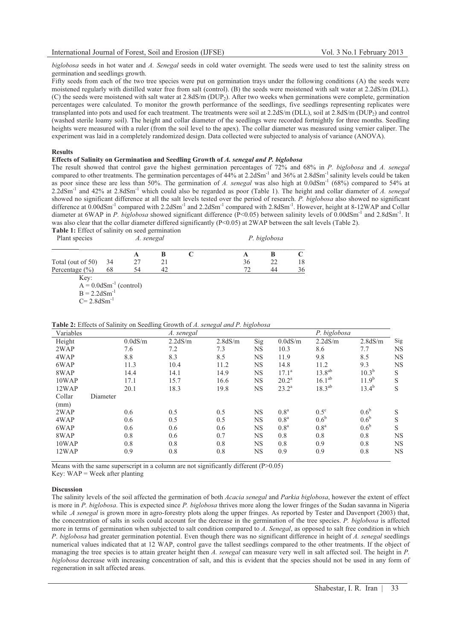*biglobosa* seeds in hot water and *A. Senegal* seeds in cold water overnight. The seeds were used to test the salinity stress on germination and seedlings growth.

Fifty seeds from each of the two tree species were put on germination trays under the following conditions (A) the seeds were moistened regularly with distilled water free from salt (control). (B) the seeds were moistened with salt water at 2.2dS/m (DLL). (C) the seeds were moistened with salt water at 2.8dS/m (DUP2). After two weeks when germinations were complete, germination percentages were calculated. To monitor the growth performance of the seedlings, five seedlings representing replicates were transplanted into pots and used for each treatment. The treatments were soil at 2.2dS/m (DLL), soil at 2.8dS/m (DUP2) and control (washed sterile loamy soil). The height and collar diameter of the seedlings were recorded fortnightly for three months. Seedling heights were measured with a ruler (from the soil level to the apex). The collar diameter was measured using vernier caliper. The experiment was laid in a completely randomized design. Data collected were subjected to analysis of variance (ANOVA).

#### **Results**

**Effects of Salinity on Germination and Seedling Growth of** *A. senegal and P. biglobosa*

The result showed that control gave the highest germination percentages of 72% and 68% in *P. biglobosa* and *A. senegal* compared to other treatments. The germination percentages of  $44\%$  at  $2.2dSm^{-1}$  and  $36\%$  at  $2.8dSm^{-1}$  salinity levels could be taken as poor since these are less than 50%. The germination of *A. senegal* was also high at 0.0dSm-1 (68%) compared to 54% at 2.2dSm-1 and 42% at 2.8dSm-1 which could also be regarded as poor (Table 1). The height and collar diameter of *A. senegal* showed no significant difference at all the salt levels tested over the period of research. *P. biglobosa* also showed no significant difference at 0.00dSm<sup>-1</sup> compared with 2.2dSm<sup>-1</sup> and 2.2dSm<sup>-1</sup> compared with 2.8dSm<sup>-1</sup>. However, height at 8-12WAP and Collar diameter at 6WAP in *P. biglobosa* showed significant difference (P<0.05) between salinity levels of 0.00dSm<sup>-1</sup> and 2.8dSm<sup>-1</sup>. It was also clear that the collar diameter differed significantly (P<0.05) at 2WAP between the salt levels (Table 2).

**Table 1:** Effect of salinity on seed germination

| Plant species      | A. senegal |    |    |  | P. biglobosa |    |    |  |
|--------------------|------------|----|----|--|--------------|----|----|--|
|                    |            |    |    |  |              |    |    |  |
| Total (out of 50)  | -34        |    |    |  | 36           |    | 18 |  |
| Percentage $(\% )$ | 68         | 54 | 47 |  |              | 44 | 36 |  |

 Key:  $A = 0.0$ dSm<sup>-1</sup> (control)  $B = 2.2$ d $Sm^{-1}$ 

 $C= 2.8$ dSm<sup>-1</sup>

| Variables |          | A. senegal |         |           |                  |                    | P. biglobosa     |           |
|-----------|----------|------------|---------|-----------|------------------|--------------------|------------------|-----------|
| Height    | 0.0dS/m  | 2.2dS/m    | 2.8dS/m | Sig       | 0.0dS/m          | 2.2dS/m            | 2.8dS/m          | Sig       |
| 2WAP      | 7.6      | 7.2        | 7.3     | NS        | 10.3             | 8.6                | 7.7              | <b>NS</b> |
| 4WAP      | 8.8      | 8.3        | 8.5     | NS        | 11.9             | 9.8                | 8.5              | <b>NS</b> |
| 6WAP      | 11.3     | 10.4       | 11.2    | <b>NS</b> | 14.8             | 11.2               | 9.3              | <b>NS</b> |
| 8WAP      | 14.4     | 14.1       | 14.9    | <b>NS</b> | $17.1^a$         | $13.8^{ab}$        | $10.3^{b}$       | S         |
| 10WAP     | 17.1     | 15.7       | 16.6    | NS        | $20.2^{\rm a}$   | 16.1 <sup>ab</sup> | $11.9^{b}$       | S         |
| 12WAP     | 20.1     | 18.3       | 19.8    | <b>NS</b> | $23.2^{\rm a}$   | $18.3^{ab}$        | $13.4^{b}$       | S         |
| Collar    | Diameter |            |         |           |                  |                    |                  |           |
| (mm)      |          |            |         |           |                  |                    |                  |           |
| 2WAP      | 0.6      | 0.5        | 0.5     | NS        | 0.8 <sup>a</sup> | $0.5^{\circ}$      | 0.6 <sup>b</sup> | S         |
| 4WAP      | 0.6      | 0.5        | 0.5     | <b>NS</b> | 0.8 <sup>a</sup> | $0.6^{\rm b}$      | $0.6^{\rm b}$    | S         |
| 6WAP      | 0.6      | 0.6        | 0.6     | <b>NS</b> | 0.8 <sup>a</sup> | 0.8 <sup>a</sup>   | $0.6^{\rm b}$    | S         |
| 8WAP      | 0.8      | 0.6        | 0.7     | NS        | 0.8              | 0.8                | 0.8              | <b>NS</b> |
| 10WAP     | 0.8      | 0.8        | 0.8     | NS        | 0.8              | 0.9                | 0.8              | <b>NS</b> |
| 12WAP     | 0.9      | 0.8        | 0.8     | NS        | 0.9              | 0.9                | 0.8              | <b>NS</b> |

**Table 2:** Effects of Salinity on Seedling Growth of *A. senegal and P. biglobosa*

Means with the same superscript in a column are not significantly different (P>0.05)

Key:  $WAP = Week$  after planting

## **Discussion**

The salinity levels of the soil affected the germination of both *Acacia senegal* and *Parkia biglobosa*, however the extent of effect is more in *P. biglobosa*. This is expected since *P. biglobosa* thrives more along the lower fringes of the Sudan savanna in Nigeria while .*A senegal* is grown more in agro-forestry plots along the upper fringes. As reported by Tester and Davenport (2003) that, the concentration of salts in soils could account for the decrease in the germination of the tree species. *P. biglobosa* is affected more in terms of germination when subjected to salt condition compared to *A*. *Senegal*, as opposed to salt free condition in which *P*. *biglobosa* had greater germination potential. Even though there was no significant difference in height of *A. senegal* seedlings numerical values indicated that at 12 WAP, control gave the tallest seedlings compared to the other treatments. If the object of managing the tree species is to attain greater height then *A. senegal* can measure very well in salt affected soil. The height in *P. biglobosa* decrease with increasing concentration of salt, and this is evident that the species should not be used in any form of regeneration in salt affected areas.